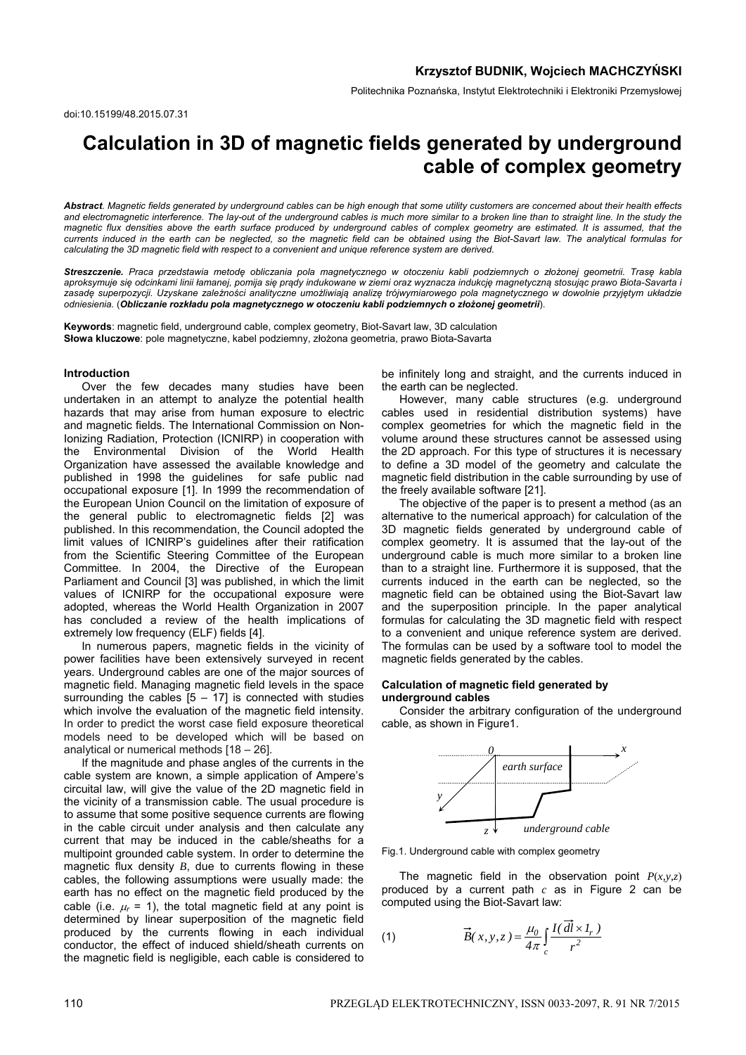Politechnika Poznańska, Instytut Elektrotechniki i Elektroniki Przemysłowej

# **Calculation in 3D of magnetic fields generated by underground cable of complex geometry**

*Abstract. Magnetic fields generated by underground cables can be high enough that some utility customers are concerned about their health effects*  and electromagnetic interference. The lay-out of the underground cables is much more similar to a broken line than to straight line. In the study the *magnetic flux densities above the earth surface produced by underground cables of complex geometry are estimated. It is assumed, that the currents induced in the earth can be neglected, so the magnetic field can be obtained using the Biot-Savart law. The analytical formulas for calculating the 3D magnetic field with respect to a convenient and unique reference system are derived.*

*Streszczenie. Praca przedstawia metodę obliczania pola magnetycznego w otoczeniu kabli podziemnych o złożonej geometrii. Trasę kabla*  aproksymuje się odcinkami linii łamanej, pomija się prądy indukowane w ziemi oraz wyznacza indukcję magnetyczną stosując prawo Biota-Savarta i zasadę superpozycji. Uzyskane zależności analityczne umożliwiają analizę trójwymiarowego pola magnetycznego w dowolnie przyjętym układzie *odniesienia.* (*Obliczanie rozkładu pola magnetycznego w otoczeniu kabli podziemnych o złożonej geometrii*).

**Keywords**: magnetic field, underground cable, complex geometry, Biot-Savart law, 3D calculation **Słowa kluczowe**: pole magnetyczne, kabel podziemny, złożona geometria, prawo Biota-Savarta

## **Introduction**

Over the few decades many studies have been undertaken in an attempt to analyze the potential health hazards that may arise from human exposure to electric and magnetic fields. The International Commission on Non-Ionizing Radiation, Protection (ICNIRP) in cooperation with the Environmental Division of the World Health Organization have assessed the available knowledge and published in 1998 the guidelines for safe public nad occupational exposure [1]. In 1999 the recommendation of the European Union Council on the limitation of exposure of the general public to electromagnetic fields [2] was published. In this recommendation, the Council adopted the limit values of ICNIRP's guidelines after their ratification from the Scientific Steering Committee of the European Committee. In 2004, the Directive of the European Parliament and Council [3] was published, in which the limit values of ICNIRP for the occupational exposure were adopted, whereas the World Health Organization in 2007 has concluded a review of the health implications of extremely low frequency (ELF) fields [4].

In numerous papers, magnetic fields in the vicinity of power facilities have been extensively surveyed in recent years. Underground cables are one of the major sources of magnetic field. Managing magnetic field levels in the space surrounding the cables  $[5 - 17]$  is connected with studies which involve the evaluation of the magnetic field intensity. In order to predict the worst case field exposure theoretical models need to be developed which will be based on analytical or numerical methods [18 – 26].

If the magnitude and phase angles of the currents in the cable system are known, a simple application of Ampere's circuital law, will give the value of the 2D magnetic field in the vicinity of a transmission cable. The usual procedure is to assume that some positive sequence currents are flowing in the cable circuit under analysis and then calculate any current that may be induced in the cable/sheaths for a multipoint grounded cable system. In order to determine the magnetic flux density *B*, due to currents flowing in these cables, the following assumptions were usually made: the earth has no effect on the magnetic field produced by the cable (i.e.  $\mu_r = 1$ ), the total magnetic field at any point is determined by linear superposition of the magnetic field produced by the currents flowing in each individual conductor, the effect of induced shield/sheath currents on the magnetic field is negligible, each cable is considered to

be infinitely long and straight, and the currents induced in the earth can be neglected.

However, many cable structures (e.g. underground cables used in residential distribution systems) have complex geometries for which the magnetic field in the volume around these structures cannot be assessed using the 2D approach. For this type of structures it is necessary to define a 3D model of the geometry and calculate the magnetic field distribution in the cable surrounding by use of the freely available software [21].

The objective of the paper is to present a method (as an alternative to the numerical approach) for calculation of the 3D magnetic fields generated by underground cable of complex geometry. It is assumed that the lay-out of the underground cable is much more similar to a broken line than to a straight line. Furthermore it is supposed, that the currents induced in the earth can be neglected, so the magnetic field can be obtained using the Biot-Savart law and the superposition principle. In the paper analytical formulas for calculating the 3D magnetic field with respect to a convenient and unique reference system are derived. The formulas can be used by a software tool to model the magnetic fields generated by the cables.

### **Calculation of magnetic field generated by underground cables**

Consider the arbitrary configuration of the underground cable, as shown in Figure1.



Fig.1. Underground cable with complex geometry

The magnetic field in the observation point  $P(x, y, z)$ produced by a current path *c* as in Figure 2 can be computed using the Biot-Savart law:

(1) 
$$
\vec{B}(x, y, z) = \frac{\mu_0}{4\pi} \int_c \frac{I(\vec{dl} \times I_r)}{r^2}
$$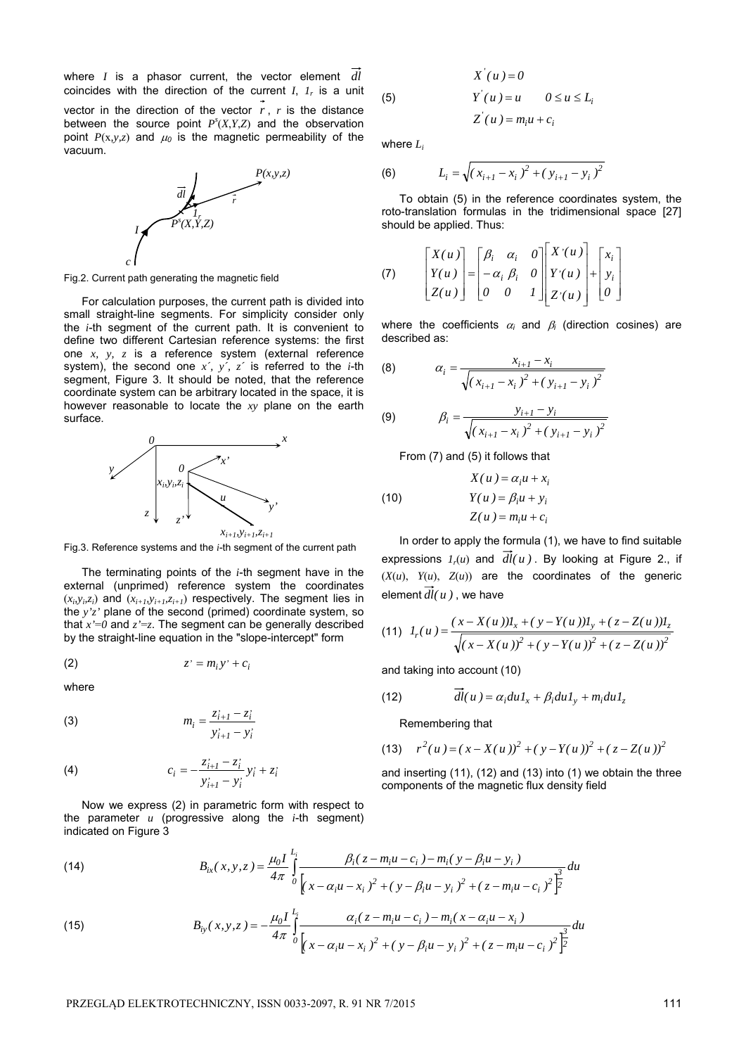where *I* is a phasor current, the vector element  $\overrightarrow{dl}$ coincides with the direction of the current *I*, *1r* is a unit

vector in the direction of the vector  $r$ ,  $r$  is the distance between the source point  $P^{s}(X, Y, Z)$  and the observation point  $P(x, y, z)$  and  $\mu_0$  is the magnetic permeability of the vacuum.



Fig.2. Current path generating the magnetic field

For calculation purposes, the current path is divided into small straight-line segments. For simplicity consider only the *i*-th segment of the current path. It is convenient to define two different Cartesian reference systems: the first one *x, y, z* is a reference system (external reference system), the second one *x´, y´, z´* is referred to the *i*-th segment. Figure 3. It should be noted, that the reference coordinate system can be arbitrary located in the space, it is however reasonable to locate the *xy* plane on the earth surface.



Fig.3. Reference systems and the *i*-th segment of the current path

The terminating points of the *i*-th segment have in the external (unprimed) reference system the coordinates  $(x_i, y_i, z_i)$  and  $(x_{i+1}, y_{i+1}, z_{i+1})$  respectively. The segment lies in the *y'z'* plane of the second (primed) coordinate system, so that  $x'=0$  and  $z'=z$ . The segment can be generally described by the straight-line equation in the "slope-intercept" form

$$
(2) \t z' = m_i y' + c_i
$$

where

(3) 
$$
m_i = \frac{z_{i+1} - z_i}{y_{i+1} - y_i}
$$

(4) 
$$
c_i = -\frac{z_{i+1} - z_i}{y_{i+1} - y_i} y_i + z_i
$$

Now we express (2) in parametric form with respect to the parameter *u* (progressive along the *i*-th segment) indicated on Figure 3

(5) 
$$
X^{'}(u) = 0
$$

$$
Y^{'}(u) = u \t 0 \le u \le L_i
$$

$$
Z^{'}(u) = m_i u + c_i
$$

where *Li*

(6) 
$$
L_i = \sqrt{(x_{i+1} - x_i)^2 + (y_{i+1} - y_i)^2}
$$

To obtain (5) in the reference coordinates system, the roto-translation formulas in the tridimensional space [27] should be applied. Thus:

(7) 
$$
\begin{bmatrix} X(u) \\ Y(u) \\ Z(u) \end{bmatrix} = \begin{bmatrix} \beta_i & \alpha_i & 0 \\ -\alpha_i & \beta_i & 0 \\ 0 & 0 & 1 \end{bmatrix} \begin{bmatrix} X'(u) \\ Y'(u) \\ Z'(u) \end{bmatrix} + \begin{bmatrix} x_i \\ y_i \\ 0 \end{bmatrix}
$$

where the coefficients  $\alpha_i$  and  $\beta_i$  (direction cosines) are described as:

(8) 
$$
\alpha_{i} = \frac{x_{i+1} - x_{i}}{\sqrt{(x_{i+1} - x_{i})^{2} + (y_{i+1} - y_{i})^{2}}}
$$
  
(9) 
$$
\beta_{i} = \frac{y_{i+1} - y_{i}}{\sqrt{(x_{i+1} - x_{i})^{2} + (y_{i+1} - y_{i})^{2}}}
$$

From (7) and (5) it follows that

(10)  

$$
X(u) = \alpha_i u + x_i
$$

$$
Y(u) = \beta_i u + y_i
$$

$$
Z(u) = m_i u + c_i
$$

In order to apply the formula (1), we have to find suitable expressions  $I_r(u)$  and  $dl(u)$ . By looking at Figure 2., if  $(X(u), Y(u), Z(u))$  are the coordinates of the generic element  $d\vec{l}(u)$  , we have

(11) 
$$
I_r(u) = \frac{(x - X(u))I_x + (y - Y(u))I_y + (z - Z(u))I_z}{\sqrt{(x - X(u))^2 + (y - Y(u))^2 + (z - Z(u))^2}}
$$

and taking into account (10)

(12) 
$$
\overline{dl}(u) = \alpha_i du I_x + \beta_i du I_y + m_i du I_z
$$

Remembering that

(13) 
$$
r^2(u) = (x - X(u))^2 + (y - Y(u))^2 + (z - Z(u))^2
$$

and inserting (11), (12) and (13) into (1) we obtain the three components of the magnetic flux density field

(14) 
$$
B_{ix}(x, y, z) = \frac{\mu_0 I}{4\pi} \int_0^{L_i} \frac{\beta_i (z - m_i u - c_i) - m_i (y - \beta_i u - y_i)}{(x - \alpha_i u - x_i)^2 + (y - \beta_i u - y_i)^2 + (z - m_i u - c_i)^2} \frac{d^3}{2} du
$$

(15) 
$$
B_{iy}(x, y, z) = -\frac{\mu_0 I}{4\pi} \int_0^{L_1} \frac{\alpha_i (z - m_i u - c_i) - m_i (x - \alpha_i u - x_i)}{(x - \alpha_i u - x_i)^2 + (y - \beta_i u - y_i)^2 + (z - m_i u - c_i)^2} \frac{d}{dz} du
$$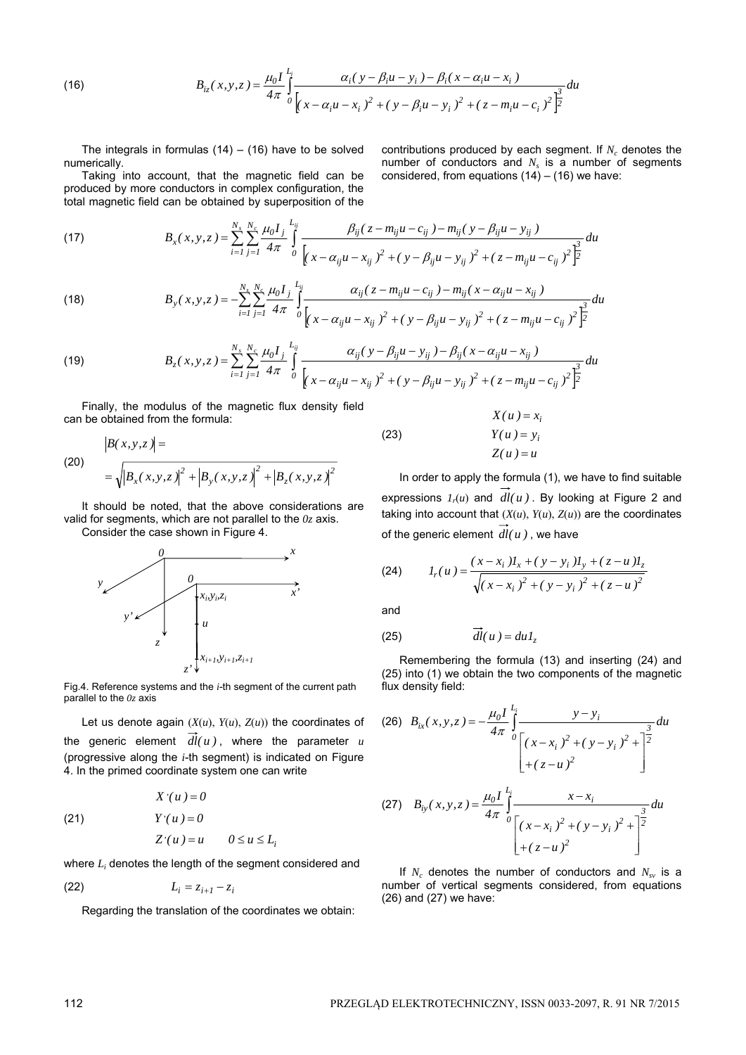(16) 
$$
B_{iz}(x, y, z) = \frac{\mu_0 I}{4\pi} \int_0^{L_i} \frac{\alpha_i (y - \beta_i u - y_i) - \beta_i (x - \alpha_i u - x_i)}{\left[x - \alpha_i u - x_i\right]^2 + (y - \beta_i u - y_i)^2 + (z - m_i u - c_i)^2\right]^{\frac{3}{2}}} du
$$

The integrals in formulas  $(14) - (16)$  have to be solved numerically.

Taking into account, that the magnetic field can be produced by more conductors in complex configuration, the total magnetic field can be obtained by superposition of the

contributions produced by each segment. If  $N_c$  denotes the number of conductors and  $N<sub>s</sub>$  is a number of segments considered, from equations  $(14) - (16)$  we have:

(17) 
$$
B_x(x, y, z) = \sum_{i=1}^{N_s} \sum_{j=1}^{N_c} \frac{\mu_0 I_j}{4\pi} \int_0^{L_{ij}} \frac{\beta_{ij}(z - m_{ij}u - c_{ij}) - m_{ij}(y - \beta_{ij}u - y_{ij})}{\left[x - \alpha_{ij}u - x_{ij}\right]^2 + (y - \beta_{ij}u - y_{ij})^2 + (z - m_{ij}u - c_{ij})^2\right]^{\frac{3}{2}}} du
$$

(18) 
$$
B_{y}(x, y, z) = -\sum_{i=1}^{N_s} \sum_{j=1}^{N_c} \frac{\mu_0 I_j}{4\pi} \int_0^{L_{ij}} \frac{\alpha_{ij}(z - m_{ij}u - c_{ij}) - m_{ij}(x - \alpha_{ij}u - x_{ij})}{\left[(x - \alpha_{ij}u - x_{ij})^2 + (y - \beta_{ij}u - y_{ij})^2 + (z - m_{ij}u - c_{ij})^2\right]^{\frac{3}{2}}} du
$$

(19) 
$$
B_{z}(x, y, z) = \sum_{i=1}^{N_{s}} \sum_{j=1}^{N_{c}} \frac{\mu_{0} I_{j}}{4\pi} \int_{0}^{L_{ij}} \frac{\alpha_{ij} (y - \beta_{ij} u - y_{ij}) - \beta_{ij} (x - \alpha_{ij} u - x_{ij})}{\left[ (x - \alpha_{ij} u - x_{ij})^{2} + (y - \beta_{ij} u - y_{ij})^{2} + (z - m_{ij} u - c_{ij})^{2} \right]^{3}} du
$$

Finally, the modulus of the magnetic flux density field can be obtained from the formula:

(20)  

$$
\begin{aligned} \left| B(x, y, z) \right| &= \\ &= \sqrt{\left| B_x(x, y, z) \right|^2 + \left| B_y(x, y, z) \right|^2 + \left| B_z(x, y, z) \right|^2} \end{aligned}
$$

It should be noted, that the above considerations are valid for segments, which are not parallel to the *0z* axis.

Consider the case shown in Figure 4.



Fig.4. Reference systems and the *i*-th segment of the current path parallel to the *0z* axis

Let us denote again  $(X(u), Y(u), Z(u))$  the coordinates of the generic element  $\overrightarrow{dl}(u)$ , where the parameter *u* (progressive along the *i*-th segment) is indicated on Figure 4. In the primed coordinate system one can write

(21) 
$$
X'(u) = 0
$$

$$
Y'(u) = 0
$$

$$
Z'(u) = u \qquad 0 \le u \le L_i
$$

where *Li* denotes the length of the segment considered and

$$
(22) \t\t\t L_i = z_{i+1} - z_i
$$

Regarding the translation of the coordinates we obtain:

(23) 
$$
X(u) = x_i
$$

$$
Y(u) = y_i
$$

$$
Z(u) = u
$$

In order to apply the formula (1), we have to find suitable expressions  $I_r(u)$  and  $dl(u)$ . By looking at Figure 2 and taking into account that  $(X(u), Y(u), Z(u))$  are the coordinates of the generic element  $dl(u)$ , we have

(24) 
$$
I_r(u) = \frac{(x - x_i)I_x + (y - y_i)I_y + (z - u)I_z}{\sqrt{(x - x_i)^2 + (y - y_i)^2 + (z - u)^2}}
$$

and

$$
(25) \t\t dl(u) = duI_z
$$

 $\rightarrow$ 

Remembering the formula (13) and inserting (24) and (25) into (1) we obtain the two components of the magnetic flux density field:

$$
(26) \quad B_{ix}(x, y, z) = -\frac{\mu_0 I}{4\pi} \int_0^{L_1} \frac{y - y_i}{\left[ (x - x_i)^2 + (y - y_i)^2 + \right]^{\frac{3}{2}}} du
$$
\n
$$
(27) \quad B_{iy}(x, y, z) = \frac{\mu_0 I}{4\pi} \int_0^{L_1} \frac{x - x_i}{\left[ (x - x_i)^2 + (y - y_i)^2 + \right]^{\frac{3}{2}}} du
$$
\n
$$
+ (z - u)^2
$$

If  $N_c$  denotes the number of conductors and  $N_{sw}$  is a number of vertical segments considered, from equations (26) and (27) we have: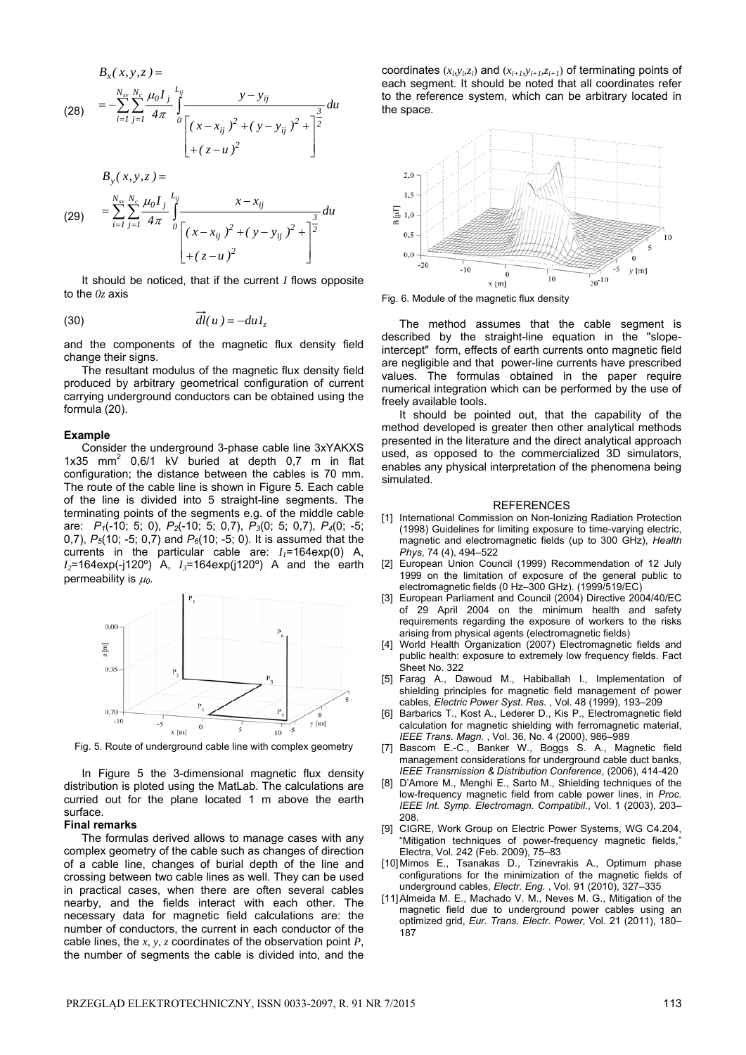(28) 
$$
B_x(x, y, z) =
$$

$$
= -\sum_{i=1}^{N_{sv}} \sum_{j=1}^{N_c} \frac{\mu_0 I_j}{4\pi} \int_0^{L_{ij}} \frac{y - y_{ij}}{\left[ (x - x_{ij})^2 + (y - y_{ij})^2 + \right]^{\frac{3}{2}}} du
$$

$$
+ (z - u)^2
$$

$$
B_{y}(x, y, z) =
$$
  
(29) 
$$
= \sum_{i=1}^{N_{sv}} \sum_{j=1}^{N_c} \frac{\mu_0 I_j}{4\pi} \int_{0}^{L_{ij}} \frac{x - x_{ij}}{\left[ (x - x_{ij})^2 + (y - y_{ij})^2 + \right]^{\frac{3}{2}}} du
$$

$$
+ (z - u)^2
$$

It should be noticed, that if the current *I* flows opposite to the *0z* axis

(30) *du1z dl( u )*

and the components of the magnetic flux density field change their signs.

The resultant modulus of the magnetic flux density field produced by arbitrary geometrical configuration of current carrying underground conductors can be obtained using the formula (20).

# **Example**

 Consider the underground 3-phase cable line 3xYAKXS 1x35 mm<sup>2</sup> 0,6/1 kV buried at depth 0,7 m in flat configuration; the distance between the cables is 70 mm. The route of the cable line is shown in Figure 5. Each cable of the line is divided into 5 straight-line segments. The terminating points of the segments e.g. of the middle cable are: *P1*(-10; 5; 0), *P2*(-10; 5; 0,7), *P3*(0; 5; 0,7), *P4*(0; -5; 0,7), *P5*(10; -5; 0,7) and *P6*(10; -5; 0). It is assumed that the currents in the particular cable are:  $I_1$ =164exp(0) A, *I2*=164exp(-j120º) A, *I3*=164exp(j120º) A and the earth permeability is  $\mu_0$ .



Fig. 5. Route of underground cable line with complex geometry

 In Figure 5 the 3-dimensional magnetic flux density distribution is ploted using the MatLab. The calculations are curried out for the plane located 1 m above the earth surface.

### **Final remarks**

The formulas derived allows to manage cases with any complex geometry of the cable such as changes of direction of a cable line, changes of burial depth of the line and crossing between two cable lines as well. They can be used in practical cases, when there are often several cables nearby, and the fields interact with each other. The necessary data for magnetic field calculations are: the number of conductors, the current in each conductor of the cable lines, the *x*, *y*, *z* coordinates of the observation point *P*, the number of segments the cable is divided into, and the coordinates  $(x_i, y_i, z_i)$  and  $(x_{i+h}, y_{i+h}, z_{i+1})$  of terminating points of each segment. It should be noted that all coordinates refer to the reference system, which can be arbitrary located in the space.



Fig. 6. Module of the magnetic flux density

The method assumes that the cable segment is described by the straight-line equation in the "slopeintercept" form, effects of earth currents onto magnetic field are negligible and that power-line currents have prescribed values. The formulas obtained in the paper require numerical integration which can be performed by the use of freely available tools.

It should be pointed out, that the capability of the method developed is greater then other analytical methods presented in the literature and the direct analytical approach used, as opposed to the commercialized 3D simulators, enables any physical interpretation of the phenomena being simulated.

#### **REFERENCES**

- [1] International Commission on Non-Ionizing Radiation Protection (1998) Guidelines for limiting exposure to time-varying electric, magnetic and electromagnetic fields (up to 300 GHz), *Health Phys*, 74 (4), 494–522
- [2] European Union Council (1999) Recommendation of 12 July 1999 on the limitation of exposure of the general public to electromagnetic fields (0 Hz–300 GHz). (1999/519/EC)
- [3] European Parliament and Council (2004) Directive 2004/40/EC of 29 April 2004 on the minimum health and safety requirements regarding the exposure of workers to the risks arising from physical agents (electromagnetic fields)
- [4] World Health Organization (2007) Electromagnetic fields and public health: exposure to extremely low frequency fields. Fact Sheet No. 322
- [5] Farag A., Dawoud M., Habiballah I., Implementation of shielding principles for magnetic field management of power cables, *Electric Power Syst. Res.* , Vol. 48 (1999), 193–209
- [6] Barbarics T., Kost A., Lederer D., Kis P., Electromagnetic field calculation for magnetic shielding with ferromagnetic material, *IEEE Trans. Magn.* , Vol. 36, No. 4 (2000), 986–989
- [7] Bascom E.-C., Banker W., Boggs S. A., Magnetic field management considerations for underground cable duct banks, *IEEE Transmission & Distribution Conference*, (2006), 414-420
- [8] D'Amore M., Menghi E., Sarto M., Shielding techniques of the low-frequency magnetic field from cable power lines, in *Proc. IEEE Int. Symp. Electromagn. Compatibil.*, Vol. 1 (2003), 203– 208.
- [9] CIGRE, Work Group on Electric Power Systems, WG C4.204, "Mitigation techniques of power-frequency magnetic fields," Electra, Vol. 242 (Feb. 2009), 75–83
- [10] Mimos E., Tsanakas D., Tzinevrakis A., Optimum phase configurations for the minimization of the magnetic fields of underground cables, *Electr. Eng.* , Vol. 91 (2010), 327–335
- [11] Almeida M. E., Machado V. M., Neves M. G., Mitigation of the magnetic field due to underground power cables using an optimized grid, *Eur. Trans. Electr. Power*, Vol. 21 (2011), 180– 187